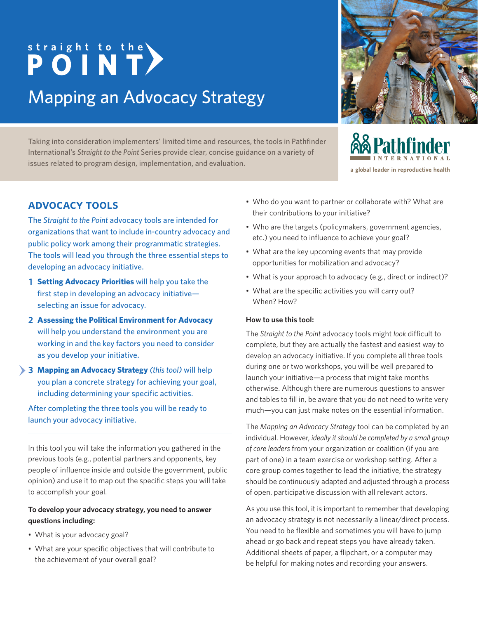# straight to the <br> **POINT** Mapping an Advocacy Strategy

Taking into consideration implementers' limited time and resources, the tools in Pathfinder International's *Straight to the Point* Series provide clear, concise guidance on a variety of issues related to program design, implementation, and evaluation.



- Who are the targets (policymakers, government agencies, etc.) you need to influence to achieve your goal?
- What are the key upcoming events that may provide opportunities for mobilization and advocacy?
- What is your approach to advocacy (e.g., direct or indirect)?
- What are the specific activities you will carry out? When? How?

#### **How to use this tool:**

The *Straight to the Point* advocacy tools might *look* difficult to complete, but they are actually the fastest and easiest way to develop an advocacy initiative. If you complete all three tools during one or two workshops, you will be well prepared to launch your initiative—a process that might take months otherwise. Although there are numerous questions to answer and tables to fill in, be aware that you do not need to write very much—you can just make notes on the essential information.

The *Mapping an Advocacy Strategy* tool can be completed by an individual. However, *ideally it should be completed by a small group of core leaders* from your organization or coalition (if you are part of one) in a team exercise or workshop setting. After a core group comes together to lead the initiative, the strategy should be continuously adapted and adjusted through a process of open, participative discussion with all relevant actors.

As you use this tool, it is important to remember that developing an advocacy strategy is not necessarily a linear/direct process. You need to be flexible and sometimes you will have to jump ahead or go back and repeat steps you have already taken. Additional sheets of paper, a flipchart, or a computer may be helpful for making notes and recording your answers.

## **advocacy tools**

The *Straight to the Point* advocacy tools are intended for organizations that want to include in-country advocacy and public policy work among their programmatic strategies. The tools will lead you through the three essential steps to developing an advocacy initiative.

- **Setting Advocacy Priorities** will help you take the **1**first step in developing an advocacy initiative selecting an issue for advocacy.
- **Assessing the Political Environment for Advocacy 2** will help you understand the environment you are working in and the key factors you need to consider as you develop your initiative.
- **Mapping an Advocacy Strategy** *(this tool)* will help **3** you plan a concrete strategy for achieving your goal, including determining your specific activities.

After completing the three tools you will be ready to launch your advocacy initiative.

In this tool you will take the information you gathered in the previous tools (e.g., potential partners and opponents, key people of influence inside and outside the government, public opinion) and use it to map out the specific steps you will take to accomplish your goal.

#### **To develop your advocacy strategy, you need to answer questions including:**

- What is your advocacy goal?
- What are your specific objectives that will contribute to the achievement of your overall goal?



**&& Pathfinder** 

a global leader in reproductive health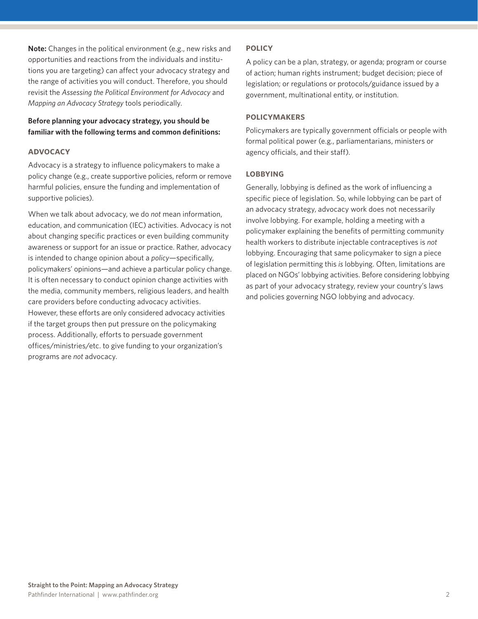**Note:** Changes in the political environment (e.g., new risks and opportunities and reactions from the individuals and institutions you are targeting) can affect your advocacy strategy and the range of activities you will conduct. Therefore, you should revisit the *Assessing the Political Environment for Advocacy* and *Mapping an Advocacy Strategy* tools periodically.

#### **Before planning your advocacy strategy, you should be familiar with the following terms and common definitions:**

#### **advocacy**

Advocacy is a strategy to influence policymakers to make a policy change (e.g., create supportive policies, reform or remove harmful policies, ensure the funding and implementation of supportive policies).

When we talk about advocacy, we do *not* mean information, education, and communication (IEC) activities. Advocacy is not about changing specific practices or even building community awareness or support for an issue or practice. Rather, advocacy is intended to change opinion about a *policy*—specifically, policymakers' opinions—and achieve a particular policy change. It is often necessary to conduct opinion change activities with the media, community members, religious leaders, and health care providers before conducting advocacy activities. However, these efforts are only considered advocacy activities if the target groups then put pressure on the policymaking process. Additionally, efforts to persuade government offices/ministries/etc. to give funding to your organization's programs are *not* advocacy.

#### **policy**

A policy can be a plan, strategy, or agenda; program or course of action; human rights instrument; budget decision; piece of legislation; or regulations or protocols/guidance issued by a government, multinational entity, or institution.

#### **policymakers**

Policymakers are typically government officials or people with formal political power (e.g., parliamentarians, ministers or agency officials, and their staff).

#### **lobbying**

Generally, lobbying is defined as the work of influencing a specific piece of legislation. So, while lobbying can be part of an advocacy strategy, advocacy work does not necessarily involve lobbying. For example, holding a meeting with a policymaker explaining the benefits of permitting community health workers to distribute injectable contraceptives is *not* lobbying. Encouraging that same policymaker to sign a piece of legislation permitting this *is* lobbying. Often, limitations are placed on NGOs' lobbying activities. Before considering lobbying as part of your advocacy strategy, review your country's laws and policies governing NGO lobbying and advocacy.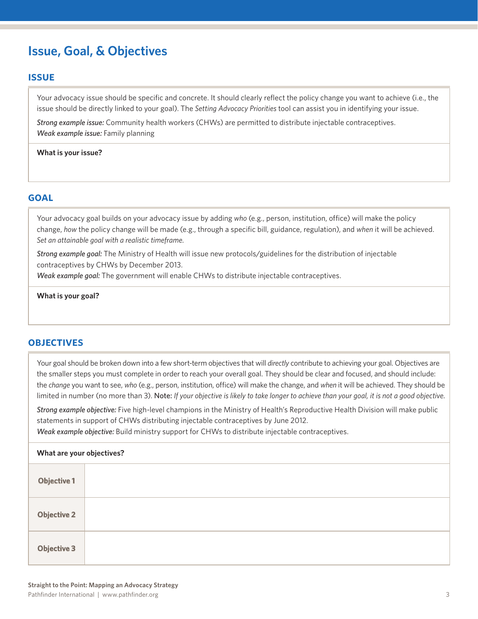# **Issue, Goal, & Objectives**

#### **issue**

Your advocacy issue should be specific and concrete. It should clearly reflect the policy change you want to achieve (i.e., the issue should be directly linked to your goal). The *Setting Advocacy Priorities* tool can assist you in identifying your issue.

*Strong example issue:* Community health workers (CHWs) are permitted to distribute injectable contraceptives. *Weak example issue:* Family planning

**What is your issue?**

#### **goal**

Your advocacy goal builds on your advocacy issue by adding *who* (e.g., person, institution, office) will make the policy change, *how* the policy change will be made (e.g., through a specific bill, guidance, regulation), and *when* it will be achieved. *Set an attainable goal with a realistic timeframe.*

*Strong example goal:* The Ministry of Health will issue new protocols/guidelines for the distribution of injectable contraceptives by CHWs by December 2013.

*Weak example goal:* The government will enable CHWs to distribute injectable contraceptives.

**What is your goal?**

#### **objectives**

Your goal should be broken down into a few short-term objectives that will *directly* contribute to achieving your goal. Objectives are the smaller steps you must complete in order to reach your overall goal. They should be clear and focused, and should include: the *change* you want to see, *who* (e.g., person, institution, office) will make the change, and *when* it will be achieved. They should be limited in number (no more than 3). Note: *If your objective is likely to take longer to achieve than your goal, it is not a good objective.*

*Strong example objective:* Five high-level champions in the Ministry of Health's Reproductive Health Division will make public statements in support of CHWs distributing injectable contraceptives by June 2012.

*Weak example objective:* Build ministry support for CHWs to distribute injectable contraceptives.

| What are your objectives? |  |  |  |
|---------------------------|--|--|--|
| <b>Objective 1</b>        |  |  |  |
| <b>Objective 2</b>        |  |  |  |
| <b>Objective 3</b>        |  |  |  |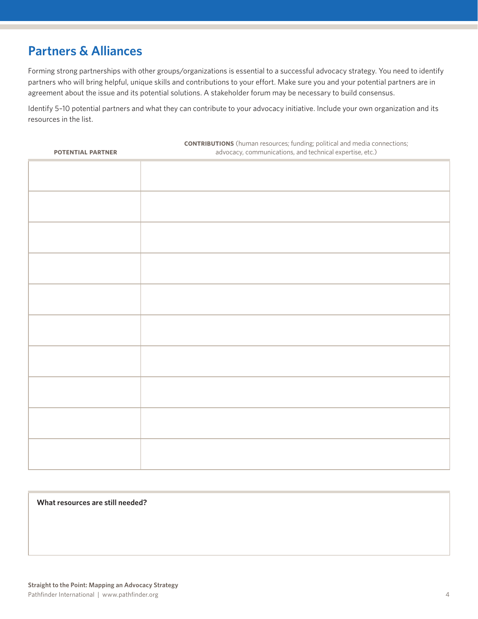## **Partners & Alliances**

Forming strong partnerships with other groups/organizations is essential to a successful advocacy strategy. You need to identify partners who will bring helpful, unique skills and contributions to your effort. Make sure you and your potential partners are in agreement about the issue and its potential solutions. A stakeholder forum may be necessary to build consensus.

Identify 5–10 potential partners and what they can contribute to your advocacy initiative. Include your own organization and its resources in the list.

| POTENTIAL PARTNER | <b>CONTRIBUTIONS</b> (human resources; funding; political and media connections;<br>advocacy, communications, and technical expertise, etc.) |
|-------------------|----------------------------------------------------------------------------------------------------------------------------------------------|
|                   |                                                                                                                                              |
|                   |                                                                                                                                              |
|                   |                                                                                                                                              |
|                   |                                                                                                                                              |
|                   |                                                                                                                                              |
|                   |                                                                                                                                              |
|                   |                                                                                                                                              |
|                   |                                                                                                                                              |
|                   |                                                                                                                                              |
|                   |                                                                                                                                              |
|                   |                                                                                                                                              |
|                   |                                                                                                                                              |
|                   |                                                                                                                                              |
|                   |                                                                                                                                              |
|                   |                                                                                                                                              |
|                   |                                                                                                                                              |
|                   |                                                                                                                                              |
|                   |                                                                                                                                              |

#### **What resources are still needed?**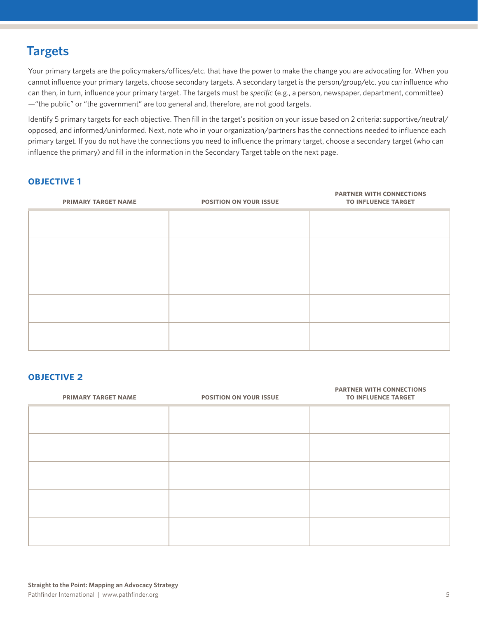## **Targets**

Your primary targets are the policymakers/offices/etc. that have the power to make the change you are advocating for. When you cannot influence your primary targets, choose secondary targets. A secondary target is the person/group/etc. you *can* influence who can then, in turn, influence your primary target. The targets must be *specific* (e.g., a person, newspaper, department, committee) —"the public" or "the government" are too general and, therefore, are not good targets.

Identify 5 primary targets for each objective. Then fill in the target's position on your issue based on 2 criteria: supportive/neutral/ opposed, and informed/uninformed. Next, note who in your organization/partners has the connections needed to influence each primary target. If you do not have the connections you need to influence the primary target, choose a secondary target (who can influence the primary) and fill in the information in the Secondary Target table on the next page.

#### **objective 1**

| <b>PRIMARY TARGET NAME</b> | <b>POSITION ON YOUR ISSUE</b> | <b>PARTNER WITH CONNECTIONS</b><br><b>TO INFLUENCE TARGET</b> |
|----------------------------|-------------------------------|---------------------------------------------------------------|
|                            |                               |                                                               |
|                            |                               |                                                               |
|                            |                               |                                                               |
|                            |                               |                                                               |
|                            |                               |                                                               |
|                            |                               |                                                               |
|                            |                               |                                                               |
|                            |                               |                                                               |

#### **objective 2**

| <b>PRIMARY TARGET NAME</b> | <b>POSITION ON YOUR ISSUE</b> | <b>PARTNER WITH CONNECTIONS</b><br><b>TO INFLUENCE TARGET</b> |
|----------------------------|-------------------------------|---------------------------------------------------------------|
|                            |                               |                                                               |
|                            |                               |                                                               |
|                            |                               |                                                               |
|                            |                               |                                                               |
|                            |                               |                                                               |
|                            |                               |                                                               |
|                            |                               |                                                               |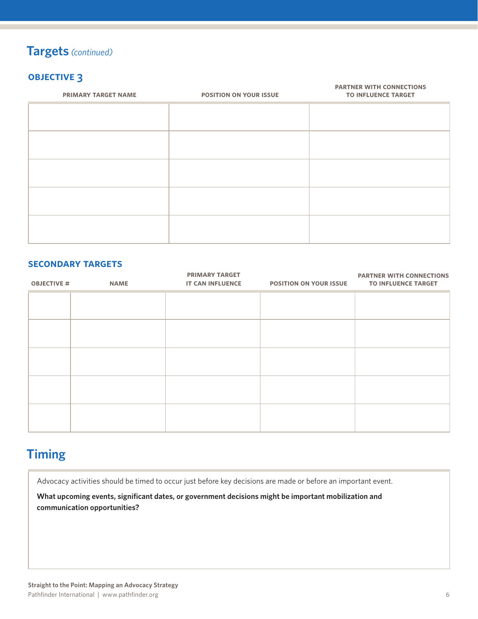## **Targets** *(continued)*

## **objective 3**

| $\tilde{\phantom{a}}$<br><b>PRIMARY TARGET NAME</b> | <b>POSITION ON YOUR ISSUE</b> | <b>PARTNER WITH CONNECTIONS</b><br><b>TO INFLUENCE TARGET</b> |
|-----------------------------------------------------|-------------------------------|---------------------------------------------------------------|
|                                                     |                               |                                                               |
|                                                     |                               |                                                               |
|                                                     |                               |                                                               |
|                                                     |                               |                                                               |
|                                                     |                               |                                                               |

#### **secondary targets**

| <b>OBJECTIVE #</b> | <b>NAME</b> | <b>PRIMARY TARGET</b><br><b>IT CAN INFLUENCE</b> | <b>POSITION ON YOUR ISSUE</b> | <b>PARTNER WITH CONNECTIONS</b><br><b>TO INFLUENCE TARGET</b> |
|--------------------|-------------|--------------------------------------------------|-------------------------------|---------------------------------------------------------------|
|                    |             |                                                  |                               |                                                               |
|                    |             |                                                  |                               |                                                               |
|                    |             |                                                  |                               |                                                               |
|                    |             |                                                  |                               |                                                               |
|                    |             |                                                  |                               |                                                               |
|                    |             |                                                  |                               |                                                               |

# **Timing**

Advocacy activities should be timed to occur just before key decisions are made or before an important event.

**What upcoming events, significant dates, or government decisions might be important mobilization and communication opportunities?**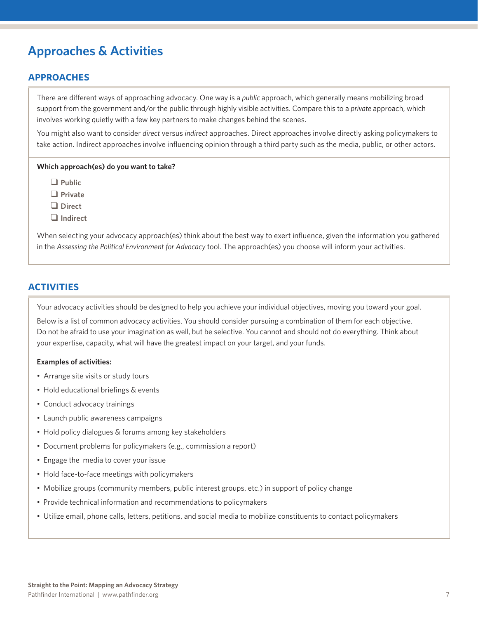# **Approaches & Activities**

## **approaches**

There are different ways of approaching advocacy. One way is a *public* approach, which generally means mobilizing broad support from the government and/or the public through highly visible activities. Compare this to a *private* approach, which involves working quietly with a few key partners to make changes behind the scenes.

You might also want to consider *direct* versus *indirect* approaches. Direct approaches involve directly asking policymakers to take action. Indirect approaches involve influencing opinion through a third party such as the media, public, or other actors.

#### **Which approach(es) do you want to take?**

q **Public**

q **Private**

□ Direct

 $\Box$  Indirect

When selecting your advocacy approach(es) think about the best way to exert influence, given the information you gathered in the *Assessing the Political Environment for Advocacy* tool. The approach(es) you choose will inform your activities.

#### **activities**

Your advocacy activities should be designed to help you achieve your individual objectives, moving you toward your goal.

Below is a list of common advocacy activities. You should consider pursuing a combination of them for each objective. Do not be afraid to use your imagination as well, but be selective. You cannot and should not do everything. Think about your expertise, capacity, what will have the greatest impact on your target, and your funds.

#### **Examples of activities:**

- Arrange site visits or study tours
- Hold educational briefings & events
- Conduct advocacy trainings
- Launch public awareness campaigns
- Hold policy dialogues & forums among key stakeholders
- Document problems for policymakers (e.g., commission a report)
- Engage the media to cover your issue
- Hold face-to-face meetings with policymakers
- Mobilize groups (community members, public interest groups, etc.) in support of policy change
- Provide technical information and recommendations to policymakers
- Utilize email, phone calls, letters, petitions, and social media to mobilize constituents to contact policymakers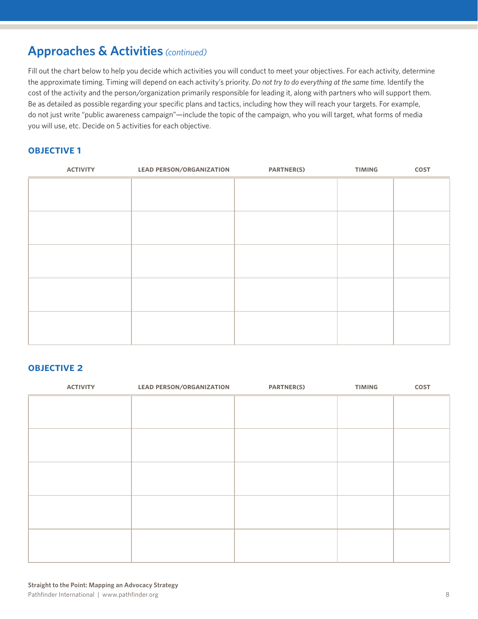## **Approaches & Activities** *(continued)*

Fill out the chart below to help you decide which activities you will conduct to meet your objectives. For each activity, determine the approximate timing. Timing will depend on each activity's priority. *Do not try to do everything at the same time.* Identify the cost of the activity and the person/organization primarily responsible for leading it, along with partners who will support them. Be as detailed as possible regarding your specific plans and tactics, including how they will reach your targets. For example, do not just write "public awareness campaign"—include the topic of the campaign, who you will target, what forms of media you will use, etc. Decide on 5 activities for each objective.

### **objective 1**

| <b>ACTIVITY</b> | <b>LEAD PERSON/ORGANIZATION</b> | <b>PARTNER(S)</b> | <b>TIMING</b> | COST |
|-----------------|---------------------------------|-------------------|---------------|------|
|                 |                                 |                   |               |      |
|                 |                                 |                   |               |      |
|                 |                                 |                   |               |      |
|                 |                                 |                   |               |      |
|                 |                                 |                   |               |      |
|                 |                                 |                   |               |      |
|                 |                                 |                   |               |      |
|                 |                                 |                   |               |      |
|                 |                                 |                   |               |      |
|                 |                                 |                   |               |      |
|                 |                                 |                   |               |      |
|                 |                                 |                   |               |      |
|                 |                                 |                   |               |      |
|                 |                                 |                   |               |      |
|                 |                                 |                   |               |      |
|                 |                                 |                   |               |      |

#### **objective 2**

| <b>ACTIVITY</b> | <b>LEAD PERSON/ORGANIZATION</b> | <b>PARTNER(S)</b> | <b>TIMING</b> | COST |
|-----------------|---------------------------------|-------------------|---------------|------|
|                 |                                 |                   |               |      |
|                 |                                 |                   |               |      |
|                 |                                 |                   |               |      |
|                 |                                 |                   |               |      |
|                 |                                 |                   |               |      |
|                 |                                 |                   |               |      |
|                 |                                 |                   |               |      |
|                 |                                 |                   |               |      |
|                 |                                 |                   |               |      |
|                 |                                 |                   |               |      |
|                 |                                 |                   |               |      |
|                 |                                 |                   |               |      |
|                 |                                 |                   |               |      |